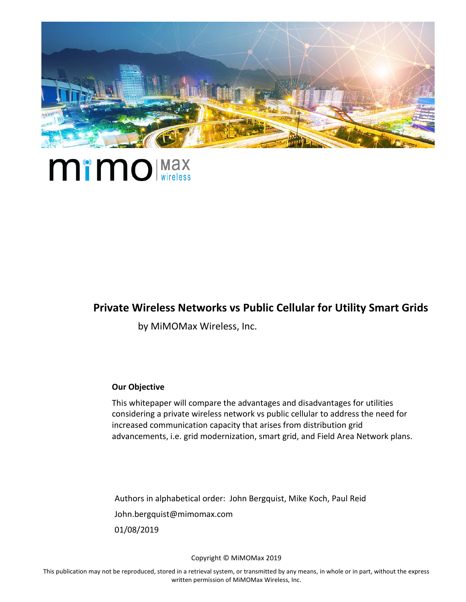

## **Mimo** (Max

#### **Private Wireless Networks vs Public Cellular for Utility Smart Grids**

by MiMOMax Wireless, Inc.

#### **Our Objective**

This whitepaper will compare the advantages and disadvantages for utilities considering a private wireless network vs public cellular to address the need for increased communication capacity that arises from distribution grid advancements, i.e. grid modernization, smart grid, and Field Area Network plans.

Authors in alphabetical order: John Bergquist, Mike Koch, Paul Reid John.bergquist@mimomax.com 01/08/2019

Copyright © MiMOMax 2019

This publication may not be reproduced, stored in a retrieval system, or transmitted by any means, in whole or in part, without the express written permission of MiMOMax Wireless, Inc.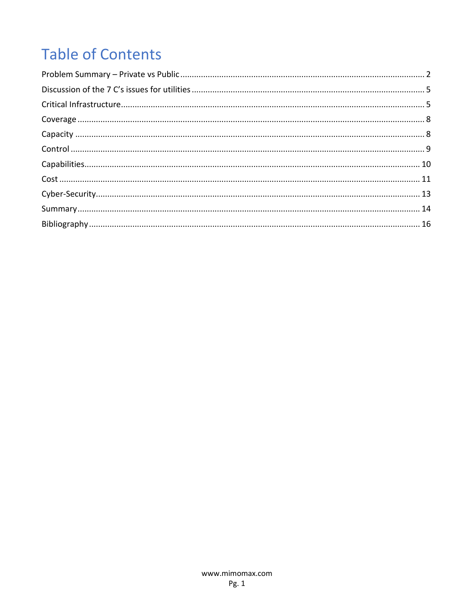## **Table of Contents**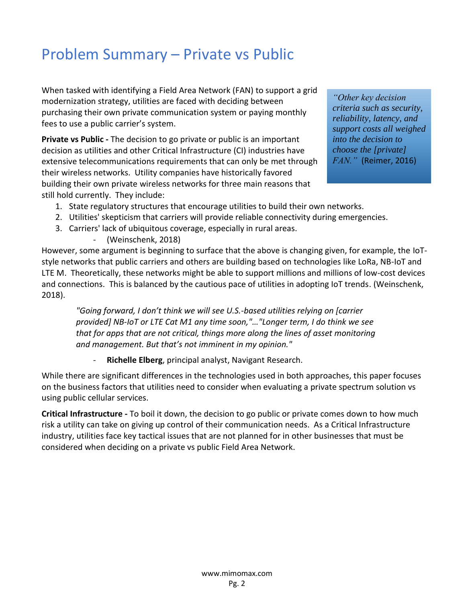## <span id="page-2-0"></span>Problem Summary – Private vs Public

When tasked with identifying a Field Area Network (FAN) to support a grid modernization strategy, utilities are faced with deciding between purchasing their own private communication system or paying monthly fees to use a public carrier's system.

**Private vs Public -** The decision to go private or public is an important decision as utilities and other Critical Infrastructure (CI) industries have extensive telecommunications requirements that can only be met through their wireless networks. Utility companies have historically favored building their own private wireless networks for three main reasons that still hold currently. They include:

*"Other key decision criteria such as security, reliability, latency, and support costs all weighed into the decision to choose the [private] FAN."* (Reimer, 2016)

- 1. State regulatory structures that encourage utilities to build their own networks.
- 2. Utilities' skepticism that carriers will provide reliable connectivity during emergencies.
- 3. Carriers' lack of ubiquitous coverage, especially in rural areas.
	- (Weinschenk, 2018)

However, some argument is beginning to surface that the above is changing given, for example, the IoTstyle networks that public carriers and others are building based on technologies like LoRa, NB-IoT and LTE M. Theoretically, these networks might be able to support millions and millions of low-cost devices and connections. This is balanced by the cautious pace of utilities in adopting IoT trends. (Weinschenk, 2018).

*"Going forward, I don't think we will see U.S.-based utilities relying on [carrier provided] NB-IoT or LTE Cat M1 any time soon,"…"Longer term, I do think we see that for apps that are not critical, things more along the lines of asset monitoring and management. But that's not imminent in my opinion."*

- **Richelle Elberg**, principal analyst, Navigant Research.

While there are significant differences in the technologies used in both approaches, this paper focuses on the business factors that utilities need to consider when evaluating a private spectrum solution vs using public cellular services.

**Critical Infrastructure -** To boil it down, the decision to go public or private comes down to how much risk a utility can take on giving up control of their communication needs. As a Critical Infrastructure industry, utilities face key tactical issues that are not planned for in other businesses that must be considered when deciding on a private vs public Field Area Network.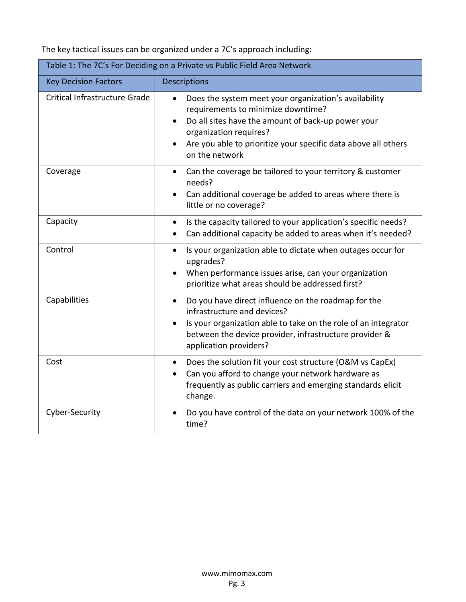The key tactical issues can be organized under a 7C's approach including:

| Table 1: The 7C's For Deciding on a Private vs Public Field Area Network |                                                                                                                                                                                                                                                                                           |  |  |  |
|--------------------------------------------------------------------------|-------------------------------------------------------------------------------------------------------------------------------------------------------------------------------------------------------------------------------------------------------------------------------------------|--|--|--|
| <b>Key Decision Factors</b>                                              | <b>Descriptions</b>                                                                                                                                                                                                                                                                       |  |  |  |
| Critical Infrastructure Grade                                            | Does the system meet your organization's availability<br>$\bullet$<br>requirements to minimize downtime?<br>Do all sites have the amount of back-up power your<br>organization requires?<br>Are you able to prioritize your specific data above all others<br>$\bullet$<br>on the network |  |  |  |
| Coverage                                                                 | Can the coverage be tailored to your territory & customer<br>$\bullet$<br>needs?<br>Can additional coverage be added to areas where there is<br>$\bullet$<br>little or no coverage?                                                                                                       |  |  |  |
| Capacity                                                                 | Is the capacity tailored to your application's specific needs?<br>$\bullet$<br>Can additional capacity be added to areas when it's needed?                                                                                                                                                |  |  |  |
| Control                                                                  | Is your organization able to dictate when outages occur for<br>$\bullet$<br>upgrades?<br>When performance issues arise, can your organization<br>$\bullet$<br>prioritize what areas should be addressed first?                                                                            |  |  |  |
| Capabilities                                                             | Do you have direct influence on the roadmap for the<br>$\bullet$<br>infrastructure and devices?<br>Is your organization able to take on the role of an integrator<br>$\bullet$<br>between the device provider, infrastructure provider &<br>application providers?                        |  |  |  |
| Cost                                                                     | Does the solution fit your cost structure (O&M vs CapEx)<br>$\bullet$<br>Can you afford to change your network hardware as<br>frequently as public carriers and emerging standards elicit<br>change.                                                                                      |  |  |  |
| Cyber-Security                                                           | Do you have control of the data on your network 100% of the<br>$\bullet$<br>time?                                                                                                                                                                                                         |  |  |  |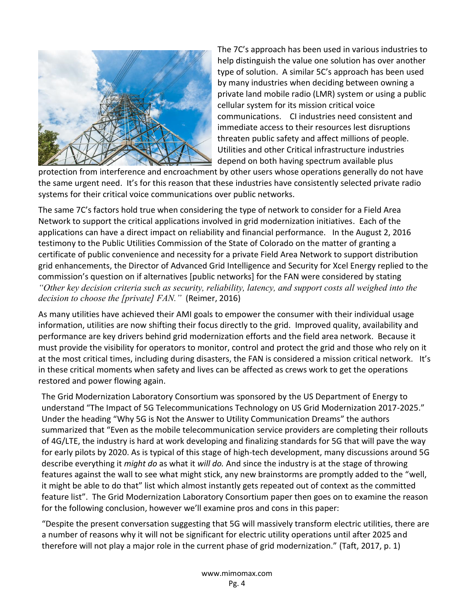

The 7C's approach has been used in various industries to help distinguish the value one solution has over another type of solution. A similar 5C's approach has been used by many industries when deciding between owning a private land mobile radio (LMR) system or using a public cellular system for its mission critical voice communications. CI industries need consistent and immediate access to their resources lest disruptions threaten public safety and affect millions of people. Utilities and other Critical infrastructure industries depend on both having spectrum available plus

protection from interference and encroachment by other users whose operations generally do not have the same urgent need. It's for this reason that these industries have consistently selected private radio systems for their critical voice communications over public networks.

The same 7C's factors hold true when considering the type of network to consider for a Field Area Network to support the critical applications involved in grid modernization initiatives. Each of the applications can have a direct impact on reliability and financial performance. In the August 2, 2016 testimony to the Public Utilities Commission of the State of Colorado on the matter of granting a certificate of public convenience and necessity for a private Field Area Network to support distribution grid enhancements, the Director of Advanced Grid Intelligence and Security for Xcel Energy replied to the commission's question on if alternatives [public networks] for the FAN were considered by stating *"Other key decision criteria such as security, reliability, latency, and support costs all weighed into the decision to choose the [private] FAN."* (Reimer, 2016)

As many utilities have achieved their AMI goals to empower the consumer with their individual usage information, utilities are now shifting their focus directly to the grid. Improved quality, availability and performance are key drivers behind grid modernization efforts and the field area network. Because it must provide the visibility for operators to monitor, control and protect the grid and those who rely on it at the most critical times, including during disasters, the FAN is considered a mission critical network. It's in these critical moments when safety and lives can be affected as crews work to get the operations restored and power flowing again.

The Grid Modernization Laboratory Consortium was sponsored by the US Department of Energy to understand "The Impact of 5G Telecommunications Technology on US Grid Modernization 2017-2025." Under the heading "Why 5G is Not the Answer to Utility Communication Dreams" the authors summarized that "Even as the mobile telecommunication service providers are completing their rollouts of 4G/LTE, the industry is hard at work developing and finalizing standards for 5G that will pave the way for early pilots by 2020. As is typical of this stage of high-tech development, many discussions around 5G describe everything it *might do* as what it *will do.* And since the industry is at the stage of throwing features against the wall to see what might stick, any new brainstorms are promptly added to the "well, it might be able to do that" list which almost instantly gets repeated out of context as the committed feature list". The Grid Modernization Laboratory Consortium paper then goes on to examine the reason for the following conclusion, however we'll examine pros and cons in this paper:

"Despite the present conversation suggesting that 5G will massively transform electric utilities, there are a number of reasons why it will not be significant for electric utility operations until after 2025 and therefore will not play a major role in the current phase of grid modernization." (Taft, 2017, p. 1)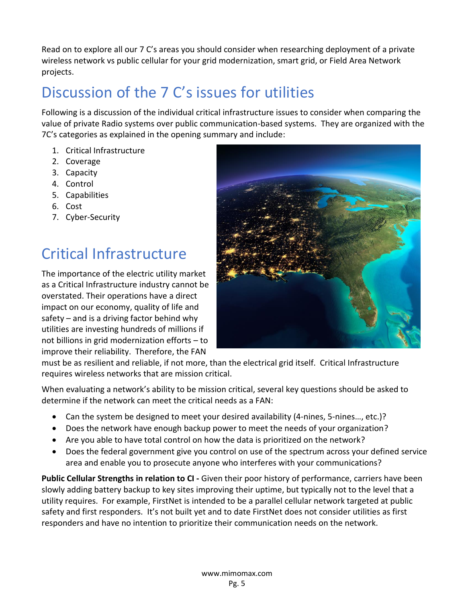Read on to explore all our 7 C's areas you should consider when researching deployment of a private wireless network vs public cellular for your grid modernization, smart grid, or Field Area Network projects.

## <span id="page-5-0"></span>Discussion of the 7 C's issues for utilities

Following is a discussion of the individual critical infrastructure issues to consider when comparing the value of private Radio systems over public communication-based systems. They are organized with the 7C's categories as explained in the opening summary and include:

- 1. Critical Infrastructure
- 2. Coverage
- 3. Capacity
- 4. Control
- 5. Capabilities
- 6. Cost
- 7. Cyber-Security

## <span id="page-5-1"></span>Critical Infrastructure

The importance of the electric utility market as a Critical Infrastructure industry cannot be overstated. Their operations have a direct impact on our economy, quality of life and safety – and is a driving factor behind why utilities are investing hundreds of millions if not billions in grid modernization efforts – to improve their reliability. Therefore, the FAN



must be as resilient and reliable, if not more, than the electrical grid itself. Critical Infrastructure requires wireless networks that are mission critical.

When evaluating a network's ability to be mission critical, several key questions should be asked to determine if the network can meet the critical needs as a FAN:

- Can the system be designed to meet your desired availability (4-nines, 5-nines..., etc.)?
- Does the network have enough backup power to meet the needs of your organization?
- Are you able to have total control on how the data is prioritized on the network?
- Does the federal government give you control on use of the spectrum across your defined service area and enable you to prosecute anyone who interferes with your communications?

**Public Cellular Strengths in relation to CI -** Given their poor history of performance, carriers have been slowly adding battery backup to key sites improving their uptime, but typically not to the level that a utility requires. For example, FirstNet is intended to be a parallel cellular network targeted at public safety and first responders. It's not built yet and to date FirstNet does not consider utilities as first responders and have no intention to prioritize their communication needs on the network.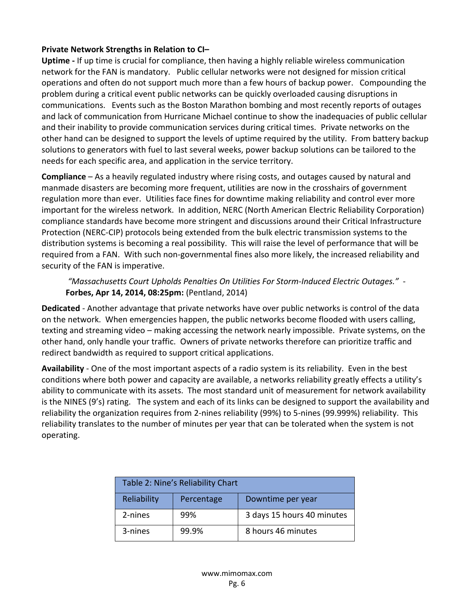#### **Private Network Strengths in Relation to CI–**

**Uptime -** If up time is crucial for compliance, then having a highly reliable wireless communication network for the FAN is mandatory. Public cellular networks were not designed for mission critical operations and often do not support much more than a few hours of backup power. Compounding the problem during a critical event public networks can be quickly overloaded causing disruptions in communications. Events such as the Boston Marathon bombing and most recently reports of outages and lack of communication from Hurricane Michael continue to show the inadequacies of public cellular and their inability to provide communication services during critical times. Private networks on the other hand can be designed to support the levels of uptime required by the utility. From battery backup solutions to generators with fuel to last several weeks, power backup solutions can be tailored to the needs for each specific area, and application in the service territory.

**Compliance** – As a heavily regulated industry where rising costs, and outages caused by natural and manmade disasters are becoming more frequent, utilities are now in the crosshairs of government regulation more than ever. Utilities face fines for downtime making reliability and control ever more important for the wireless network. In addition, NERC (North American Electric Reliability Corporation) compliance standards have become more stringent and discussions around their Critical Infrastructure Protection (NERC-CIP) protocols being extended from the bulk electric transmission systems to the distribution systems is becoming a real possibility. This will raise the level of performance that will be required from a FAN. With such non-governmental fines also more likely, the increased reliability and security of the FAN is imperative.

#### *"Massachusetts Court Upholds Penalties On Utilities For Storm-Induced Electric Outages."* - **Forbes, Apr 14, 2014, 08:25pm:** (Pentland, 2014)

**Dedicated** - Another advantage that private networks have over public networks is control of the data on the network. When emergencies happen, the public networks become flooded with users calling, texting and streaming video – making accessing the network nearly impossible. Private systems, on the other hand, only handle your traffic. Owners of private networks therefore can prioritize traffic and redirect bandwidth as required to support critical applications.

**Availability** - One of the most important aspects of a radio system is its reliability. Even in the best conditions where both power and capacity are available, a networks reliability greatly effects a utility's ability to communicate with its assets. The most standard unit of measurement for network availability is the NINES (9's) rating. The system and each of its links can be designed to support the availability and reliability the organization requires from 2-nines reliability (99%) to 5-nines (99.999%) reliability. This reliability translates to the number of minutes per year that can be tolerated when the system is not operating.

| Table 2: Nine's Reliability Chart |            |                            |  |  |
|-----------------------------------|------------|----------------------------|--|--|
| Reliability                       | Percentage | Downtime per year          |  |  |
| 2-nines                           | 99%        | 3 days 15 hours 40 minutes |  |  |
| 3-nines                           | 99.9%      | 8 hours 46 minutes         |  |  |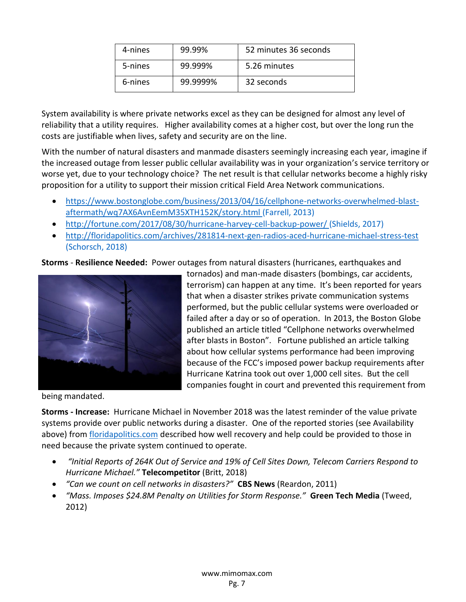| 4-nines | 99.99%   | 52 minutes 36 seconds |
|---------|----------|-----------------------|
| 5-nines | 99.999%  | 5.26 minutes          |
| 6-nines | 99.9999% | 32 seconds            |

System availability is where private networks excel as they can be designed for almost any level of reliability that a utility requires. Higher availability comes at a higher cost, but over the long run the costs are justifiable when lives, safety and security are on the line.

With the number of natural disasters and manmade disasters seemingly increasing each year, imagine if the increased outage from lesser public cellular availability was in your organization's service territory or worse yet, due to your technology choice? The net result is that cellular networks become a highly risky proposition for a utility to support their mission critical Field Area Network communications.

- [https://www.bostonglobe.com/business/2013/04/16/cellphone-networks-overwhelmed-blast](https://www.bostonglobe.com/business/2013/04/16/cellphone-networks-overwhelmed-blast-aftermath/wq7AX6AvnEemM35XTH152K/story.html)[aftermath/wq7AX6AvnEemM35XTH152K/story.html](https://www.bostonglobe.com/business/2013/04/16/cellphone-networks-overwhelmed-blast-aftermath/wq7AX6AvnEemM35XTH152K/story.html) (Farrell, 2013)
- <http://fortune.com/2017/08/30/hurricane-harvey-cell-backup-power/> (Shields, 2017)
- <http://floridapolitics.com/archives/281814-next-gen-radios-aced-hurricane-michael-stress-test> (Schorsch, 2018)

**Storms** - **Resilience Needed:** Power outages from natural disasters (hurricanes, earthquakes and



tornados) and man-made disasters (bombings, car accidents, terrorism) can happen at any time. It's been reported for years that when a disaster strikes private communication systems performed, but the public cellular systems were overloaded or failed after a day or so of operation. In 2013, the Boston Globe published an article titled "Cellphone networks overwhelmed after blasts in Boston". Fortune published an article talking about how cellular systems performance had been improving because of the FCC's imposed power backup requirements after Hurricane Katrina took out over 1,000 cell sites. But the cell companies fought in court and prevented this requirement from

being mandated.

**Storms - Increase:** Hurricane Michael in November 2018 was the latest reminder of the value private systems provide over public networks during a disaster. One of the reported stories (see Availability above) from [floridapolitics.com](file:///F:/John/Marketing/Digital%20Marketing/Content%20Creation/White%20Papers/•%09http:/floridapolitics.com/archives/281814-next-gen-radios-aced-hurricane-michael-stress-test) described how well recovery and help could be provided to those in need because the private system continued to operate.

- *"Initial Reports of 264K Out of Service and 19% of Cell Sites Down, Telecom Carriers Respond to Hurricane Michael."* **Telecompetitor** (Britt, 2018)
- *"Can we count on cell networks in disasters?"* **CBS News** (Reardon, 2011)
- *"Mass. Imposes \$24.8M Penalty on Utilities for Storm Response."* **Green Tech Media** (Tweed, 2012)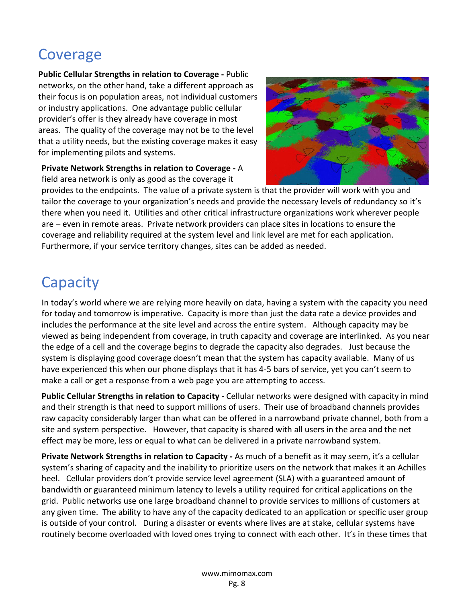## <span id="page-8-0"></span>Coverage

**Public Cellular Strengths in relation to Coverage -** Public networks, on the other hand, take a different approach as their focus is on population areas, not individual customers or industry applications. One advantage public cellular provider's offer is they already have coverage in most areas. The quality of the coverage may not be to the level that a utility needs, but the existing coverage makes it easy for implementing pilots and systems.

**Private Network Strengths in relation to Coverage -** A field area network is only as good as the coverage it



provides to the endpoints. The value of a private system is that the provider will work with you and tailor the coverage to your organization's needs and provide the necessary levels of redundancy so it's there when you need it. Utilities and other critical infrastructure organizations work wherever people are – even in remote areas. Private network providers can place sites in locations to ensure the coverage and reliability required at the system level and link level are met for each application. Furthermore, if your service territory changes, sites can be added as needed.

#### <span id="page-8-1"></span>**Capacity**

In today's world where we are relying more heavily on data, having a system with the capacity you need for today and tomorrow is imperative. Capacity is more than just the data rate a device provides and includes the performance at the site level and across the entire system. Although capacity may be viewed as being independent from coverage, in truth capacity and coverage are interlinked. As you near the edge of a cell and the coverage begins to degrade the capacity also degrades. Just because the system is displaying good coverage doesn't mean that the system has capacity available. Many of us have experienced this when our phone displays that it has 4-5 bars of service, yet you can't seem to make a call or get a response from a web page you are attempting to access.

**Public Cellular Strengths in relation to Capacity -** Cellular networks were designed with capacity in mind and their strength is that need to support millions of users. Their use of broadband channels provides raw capacity considerably larger than what can be offered in a narrowband private channel, both from a site and system perspective. However, that capacity is shared with all users in the area and the net effect may be more, less or equal to what can be delivered in a private narrowband system.

**Private Network Strengths in relation to Capacity -** As much of a benefit as it may seem, it's a cellular system's sharing of capacity and the inability to prioritize users on the network that makes it an Achilles heel. Cellular providers don't provide service level agreement (SLA) with a guaranteed amount of bandwidth or guaranteed minimum latency to levels a utility required for critical applications on the grid. Public networks use one large broadband channel to provide services to millions of customers at any given time. The ability to have any of the capacity dedicated to an application or specific user group is outside of your control. During a disaster or events where lives are at stake, cellular systems have routinely become overloaded with loved ones trying to connect with each other. It's in these times that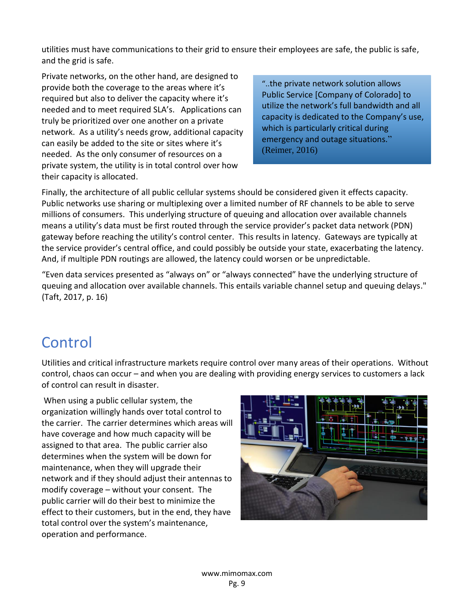utilities must have communications to their grid to ensure their employees are safe, the public is safe, and the grid is safe.

Private networks, on the other hand, are designed to provide both the coverage to the areas where it's required but also to deliver the capacity where it's needed and to meet required SLA's. Applications can truly be prioritized over one another on a private network. As a utility's needs grow, additional capacity can easily be added to the site or sites where it's needed. As the only consumer of resources on a private system, the utility is in total control over how their capacity is allocated.

"..the private network solution allows Public Service [Company of Colorado] to utilize the network's full bandwidth and all capacity is dedicated to the Company's use, which is particularly critical during emergency and outage situations." (Reimer, 2016)

Finally, the architecture of all public cellular systems should be considered given it effects capacity. Public networks use sharing or multiplexing over a limited number of RF channels to be able to serve millions of consumers. This underlying structure of queuing and allocation over available channels means a utility's data must be first routed through the service provider's packet data network (PDN) gateway before reaching the utility's control center. This results in latency. Gateways are typically at the service provider's central office, and could possibly be outside your state, exacerbating the latency. And, if multiple PDN routings are allowed, the latency could worsen or be unpredictable.

"Even data services presented as "always on" or "always connected" have the underlying structure of queuing and allocation over available channels. This entails variable channel setup and queuing delays." (Taft, 2017, p. 16)

#### <span id="page-9-0"></span>Control

Utilities and critical infrastructure markets require control over many areas of their operations. Without control, chaos can occur – and when you are dealing with providing energy services to customers a lack of control can result in disaster.

When using a public cellular system, the organization willingly hands over total control to the carrier. The carrier determines which areas will have coverage and how much capacity will be assigned to that area. The public carrier also determines when the system will be down for maintenance, when they will upgrade their network and if they should adjust their antennas to modify coverage – without your consent. The public carrier will do their best to minimize the effect to their customers, but in the end, they have total control over the system's maintenance, operation and performance.

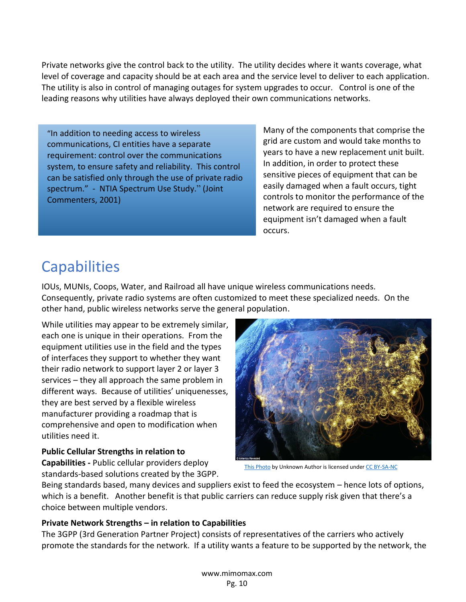Private networks give the control back to the utility. The utility decides where it wants coverage, what level of coverage and capacity should be at each area and the service level to deliver to each application. The utility is also in control of managing outages for system upgrades to occur. Control is one of the leading reasons why utilities have always deployed their own communications networks.

"In addition to needing access to wireless communications, CI entities have a separate requirement: control over the communications system, to ensure safety and reliability. This control can be satisfied only through the use of private radio spectrum." - NTIA Spectrum Use Study." (Joint Commenters, 2001)

Many of the components that comprise the grid are custom and would take months to years to have a new replacement unit built. In addition, in order to protect these sensitive pieces of equipment that can be easily damaged when a fault occurs, tight controls to monitor the performance of the network are required to ensure the equipment isn't damaged when a fault occurs.

## <span id="page-10-0"></span>**Capabilities**

IOUs, MUNIs, Coops, Water, and Railroad all have unique wireless communications needs. Consequently, private radio systems are often customized to meet these specialized needs. On the other hand, public wireless networks serve the general population.

While utilities may appear to be extremely similar, each one is unique in their operations. From the equipment utilities use in the field and the types of interfaces they support to whether they want their radio network to support layer 2 or layer 3 services – they all approach the same problem in different ways. Because of utilities' uniquenesses, they are best served by a flexible wireless manufacturer providing a roadmap that is comprehensive and open to modification when utilities need it.

#### **Public Cellular Strengths in relation to**

**Capabilities -** Public cellular providers deploy standards-based solutions created by the 3GPP.



[This Photo](http://milindo-taid.net/2012/america-revealed-incredible-satellite-imagery/) by Unknown Author is licensed unde[r CC BY-SA-NC](https://creativecommons.org/licenses/by-nc-sa/3.0/)

Being standards based, many devices and suppliers exist to feed the ecosystem – hence lots of options, which is a benefit. Another benefit is that public carriers can reduce supply risk given that there's a choice between multiple vendors.

#### **Private Network Strengths – in relation to Capabilities**

The 3GPP (3rd Generation Partner Project) consists of representatives of the carriers who actively promote the standards for the network. If a utility wants a feature to be supported by the network, the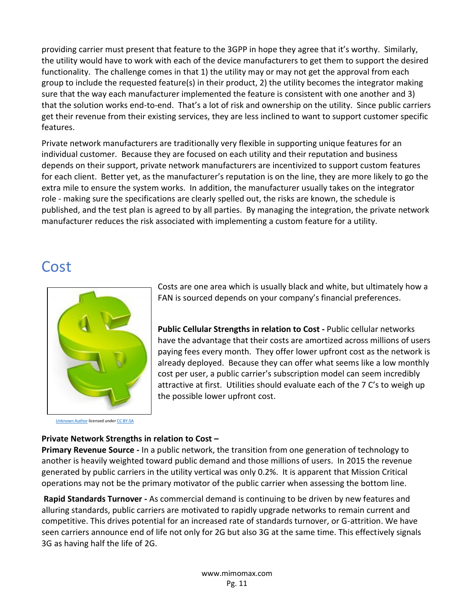providing carrier must present that feature to the 3GPP in hope they agree that it's worthy. Similarly, the utility would have to work with each of the device manufacturers to get them to support the desired functionality. The challenge comes in that 1) the utility may or may not get the approval from each group to include the requested feature(s) in their product, 2) the utility becomes the integrator making sure that the way each manufacturer implemented the feature is consistent with one another and 3) that the solution works end-to-end. That's a lot of risk and ownership on the utility. Since public carriers get their revenue from their existing services, they are less inclined to want to support customer specific features.

Private network manufacturers are traditionally very flexible in supporting unique features for an individual customer. Because they are focused on each utility and their reputation and business depends on their support, private network manufacturers are incentivized to support custom features for each client. Better yet, as the manufacturer's reputation is on the line, they are more likely to go the extra mile to ensure the system works. In addition, the manufacturer usually takes on the integrator role - making sure the specifications are clearly spelled out, the risks are known, the schedule is published, and the test plan is agreed to by all parties. By managing the integration, the private network manufacturer reduces the risk associated with implementing a custom feature for a utility.

#### <span id="page-11-0"></span>Cost



[Unknown Author](http://energy-alaska.wikidot.com/current-costs-future-projections) licensed unde[r CC BY-SA](https://creativecommons.org/licenses/by-sa/3.0/)

Costs are one area which is usually black and white, but ultimately how a FAN is sourced depends on your company's financial preferences.

**Public Cellular Strengths in relation to Cost -** Public cellular networks have the advantage that their costs are amortized across millions of users paying fees every month. They offer lower upfront cost as the network is already deployed. Because they can offer what seems like a low monthly cost per user, a public carrier's subscription model can seem incredibly attractive at first. Utilities should evaluate each of the 7 C's to weigh up the possible lower upfront cost.

#### **Private Network Strengths in relation to Cost –**

**Primary Revenue Source -** In a public network, the transition from one generation of technology to another is heavily weighted toward public demand and those millions of users. In 2015 the revenue generated by public carriers in the utility vertical was only 0.2%. It is apparent that Mission Critical operations may not be the primary motivator of the public carrier when assessing the bottom line.

**Rapid Standards Turnover -** As commercial demand is continuing to be driven by new features and alluring standards, public carriers are motivated to rapidly upgrade networks to remain current and competitive. This drives potential for an increased rate of standards turnover, or G-attrition. We have seen carriers announce end of life not only for 2G but also 3G at the same time. This effectively signals 3G as having half the life of 2G.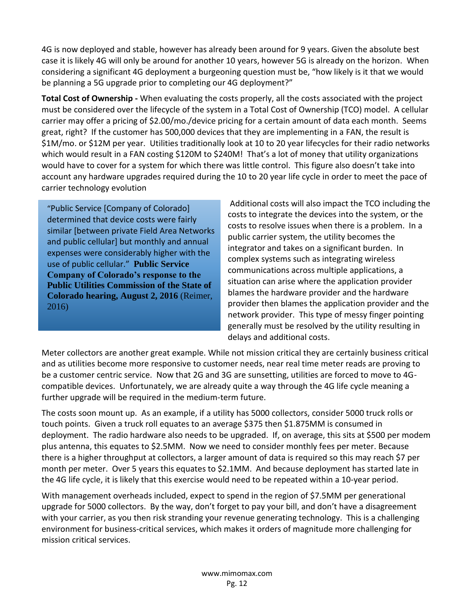4G is now deployed and stable, however has already been around for 9 years. Given the absolute best case it is likely 4G will only be around for another 10 years, however 5G is already on the horizon. When considering a significant 4G deployment a burgeoning question must be, "how likely is it that we would be planning a 5G upgrade prior to completing our 4G deployment?"

**Total Cost of Ownership -** When evaluating the costs properly, all the costs associated with the project must be considered over the lifecycle of the system in a Total Cost of Ownership (TCO) model. A cellular carrier may offer a pricing of \$2.00/mo./device pricing for a certain amount of data each month. Seems great, right? If the customer has 500,000 devices that they are implementing in a FAN, the result is \$1M/mo. or \$12M per year. Utilities traditionally look at 10 to 20 year lifecycles for their radio networks which would result in a FAN costing \$120M to \$240M! That's a lot of money that utility organizations would have to cover for a system for which there was little control. This figure also doesn't take into account any hardware upgrades required during the 10 to 20 year life cycle in order to meet the pace of carrier technology evolution

"Public Service [Company of Colorado] determined that device costs were fairly similar [between private Field Area Networks and public cellular] but monthly and annual expenses were considerably higher with the use of public cellular." **Public Service Company of Colorado's response to the Public Utilities Commission of the State of Colorado hearing, August 2, 2016** (Reimer, 2016)

Additional costs will also impact the TCO including the costs to integrate the devices into the system, or the costs to resolve issues when there is a problem. In a public carrier system, the utility becomes the integrator and takes on a significant burden. In complex systems such as integrating wireless communications across multiple applications, a situation can arise where the application provider blames the hardware provider and the hardware provider then blames the application provider and the network provider. This type of messy finger pointing generally must be resolved by the utility resulting in delays and additional costs.

Meter collectors are another great example. While not mission critical they are certainly business critical and as utilities become more responsive to customer needs, near real time meter reads are proving to be a customer centric service. Now that 2G and 3G are sunsetting, utilities are forced to move to 4Gcompatible devices. Unfortunately, we are already quite a way through the 4G life cycle meaning a further upgrade will be required in the medium-term future.

The costs soon mount up. As an example, if a utility has 5000 collectors, consider 5000 truck rolls or touch points. Given a truck roll equates to an average \$375 then \$1.875MM is consumed in deployment. The radio hardware also needs to be upgraded. If, on average, this sits at \$500 per modem plus antenna, this equates to \$2.5MM. Now we need to consider monthly fees per meter. Because there is a higher throughput at collectors, a larger amount of data is required so this may reach \$7 per month per meter. Over 5 years this equates to \$2.1MM. And because deployment has started late in the 4G life cycle, it is likely that this exercise would need to be repeated within a 10-year period.

With management overheads included, expect to spend in the region of \$7.5MM per generational upgrade for 5000 collectors. By the way, don't forget to pay your bill, and don't have a disagreement with your carrier, as you then risk stranding your revenue generating technology. This is a challenging environment for business-critical services, which makes it orders of magnitude more challenging for mission critical services.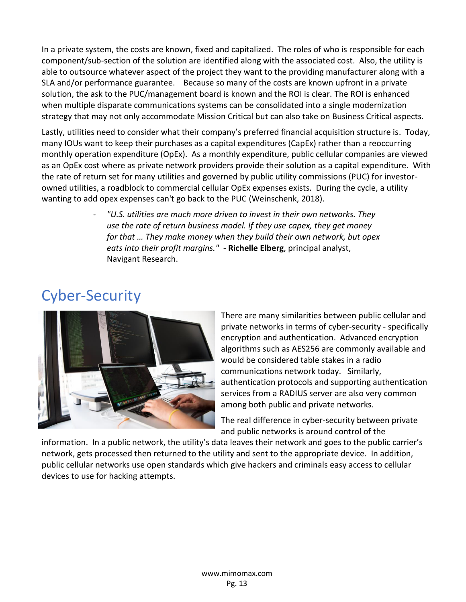In a private system, the costs are known, fixed and capitalized. The roles of who is responsible for each component/sub-section of the solution are identified along with the associated cost. Also, the utility is able to outsource whatever aspect of the project they want to the providing manufacturer along with a SLA and/or performance guarantee. Because so many of the costs are known upfront in a private solution, the ask to the PUC/management board is known and the ROI is clear. The ROI is enhanced when multiple disparate communications systems can be consolidated into a single modernization strategy that may not only accommodate Mission Critical but can also take on Business Critical aspects.

Lastly, utilities need to consider what their company's preferred financial acquisition structure is. Today, many IOUs want to keep their purchases as a capital expenditures (CapEx) rather than a reoccurring monthly operation expenditure (OpEx). As a monthly expenditure, public cellular companies are viewed as an OpEx cost where as private network providers provide their solution as a capital expenditure. With the rate of return set for many utilities and governed by public utility commissions (PUC) for investorowned utilities, a roadblock to commercial cellular OpEx expenses exists. During the cycle, a utility wanting to add opex expenses can't go back to the PUC (Weinschenk, 2018).

> - *"U.S. utilities are much more driven to invest in their own networks. They use the rate of return business model. If they use capex, they get money for that … They make money when they build their own network, but opex eats into their profit margins." -* **Richelle Elberg**, principal analyst, Navigant Research.

## <span id="page-13-0"></span>Cyber-Security



There are many similarities between public cellular and private networks in terms of cyber-security - specifically encryption and authentication. Advanced encryption algorithms such as AES256 are commonly available and would be considered table stakes in a radio communications network today. Similarly, authentication protocols and supporting authentication services from a RADIUS server are also very common among both public and private networks.

The real difference in cyber-security between private and public networks is around control of the

information. In a public network, the utility's data leaves their network and goes to the public carrier's network, gets processed then returned to the utility and sent to the appropriate device. In addition, public cellular networks use open standards which give hackers and criminals easy access to cellular devices to use for hacking attempts.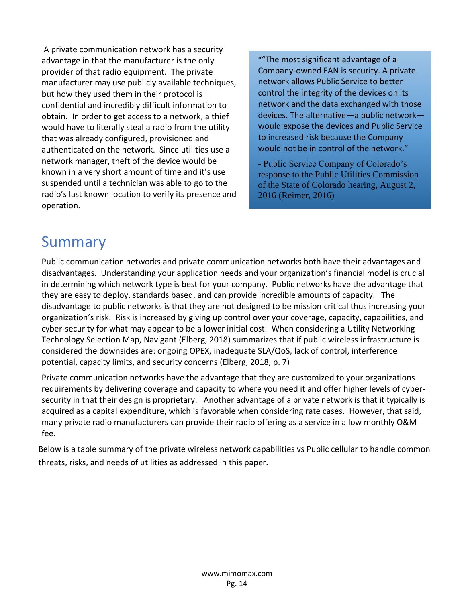A private communication network has a security advantage in that the manufacturer is the only provider of that radio equipment. The private manufacturer may use publicly available techniques, but how they used them in their protocol is confidential and incredibly difficult information to obtain. In order to get access to a network, a thief would have to literally steal a radio from the utility that was already configured, provisioned and authenticated on the network. Since utilities use a network manager, theft of the device would be known in a very short amount of time and it's use suspended until a technician was able to go to the radio's last known location to verify its presence and operation.

""The most significant advantage of a Company-owned FAN is security. A private network allows Public Service to better control the integrity of the devices on its network and the data exchanged with those devices. The alternative—a public network would expose the devices and Public Service to increased risk because the Company would not be in control of the network."

**-** Public Service Company of Colorado's response to the Public Utilities Commission of the State of Colorado hearing, August 2, 2016 (Reimer, 2016)

#### <span id="page-14-0"></span>Summary

Public communication networks and private communication networks both have their advantages and disadvantages. Understanding your application needs and your organization's financial model is crucial in determining which network type is best for your company. Public networks have the advantage that they are easy to deploy, standards based, and can provide incredible amounts of capacity. The disadvantage to public networks is that they are not designed to be mission critical thus increasing your organization's risk. Risk is increased by giving up control over your coverage, capacity, capabilities, and cyber-security for what may appear to be a lower initial cost. When considering a Utility Networking Technology Selection Map, Navigant (Elberg, 2018) summarizes that if public wireless infrastructure is considered the downsides are: ongoing OPEX, inadequate SLA/QoS, lack of control, interference potential, capacity limits, and security concerns (Elberg, 2018, p. 7)

Private communication networks have the advantage that they are customized to your organizations requirements by delivering coverage and capacity to where you need it and offer higher levels of cybersecurity in that their design is proprietary. Another advantage of a private network is that it typically is acquired as a capital expenditure, which is favorable when considering rate cases. However, that said, many private radio manufacturers can provide their radio offering as a service in a low monthly O&M fee.

Below is a table summary of the private wireless network capabilities vs Public cellular to handle common threats, risks, and needs of utilities as addressed in this paper.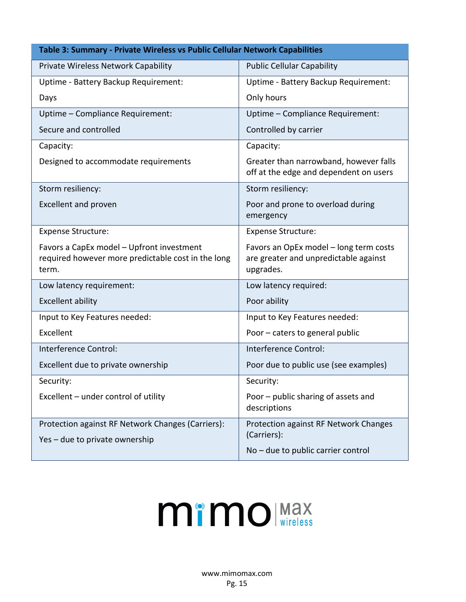| Table 3: Summary - Private Wireless vs Public Cellular Network Capabilities                              |                                                                                              |  |  |  |
|----------------------------------------------------------------------------------------------------------|----------------------------------------------------------------------------------------------|--|--|--|
| Private Wireless Network Capability                                                                      | <b>Public Cellular Capability</b>                                                            |  |  |  |
| Uptime - Battery Backup Requirement:                                                                     | Uptime - Battery Backup Requirement:                                                         |  |  |  |
| Days                                                                                                     | Only hours                                                                                   |  |  |  |
| Uptime - Compliance Requirement:                                                                         | Uptime - Compliance Requirement:                                                             |  |  |  |
| Secure and controlled                                                                                    | Controlled by carrier                                                                        |  |  |  |
| Capacity:                                                                                                | Capacity:                                                                                    |  |  |  |
| Designed to accommodate requirements                                                                     | Greater than narrowband, however falls<br>off at the edge and dependent on users             |  |  |  |
| Storm resiliency:                                                                                        | Storm resiliency:                                                                            |  |  |  |
| <b>Excellent and proven</b>                                                                              | Poor and prone to overload during<br>emergency                                               |  |  |  |
| <b>Expense Structure:</b>                                                                                | <b>Expense Structure:</b>                                                                    |  |  |  |
| Favors a CapEx model - Upfront investment<br>required however more predictable cost in the long<br>term. | Favors an OpEx model - long term costs<br>are greater and unpredictable against<br>upgrades. |  |  |  |
| Low latency requirement:                                                                                 | Low latency required:                                                                        |  |  |  |
| <b>Excellent ability</b>                                                                                 | Poor ability                                                                                 |  |  |  |
| Input to Key Features needed:                                                                            | Input to Key Features needed:                                                                |  |  |  |
| Excellent                                                                                                | Poor - caters to general public                                                              |  |  |  |
| Interference Control:                                                                                    | Interference Control:                                                                        |  |  |  |
| Excellent due to private ownership                                                                       | Poor due to public use (see examples)                                                        |  |  |  |
| Security:                                                                                                | Security:                                                                                    |  |  |  |
| Excellent – under control of utility                                                                     | Poor - public sharing of assets and<br>descriptions                                          |  |  |  |
| Protection against RF Network Changes (Carriers):<br>Yes - due to private ownership                      | Protection against RF Network Changes<br>(Carriers):                                         |  |  |  |
|                                                                                                          | No - due to public carrier control                                                           |  |  |  |

# **MimO** Max